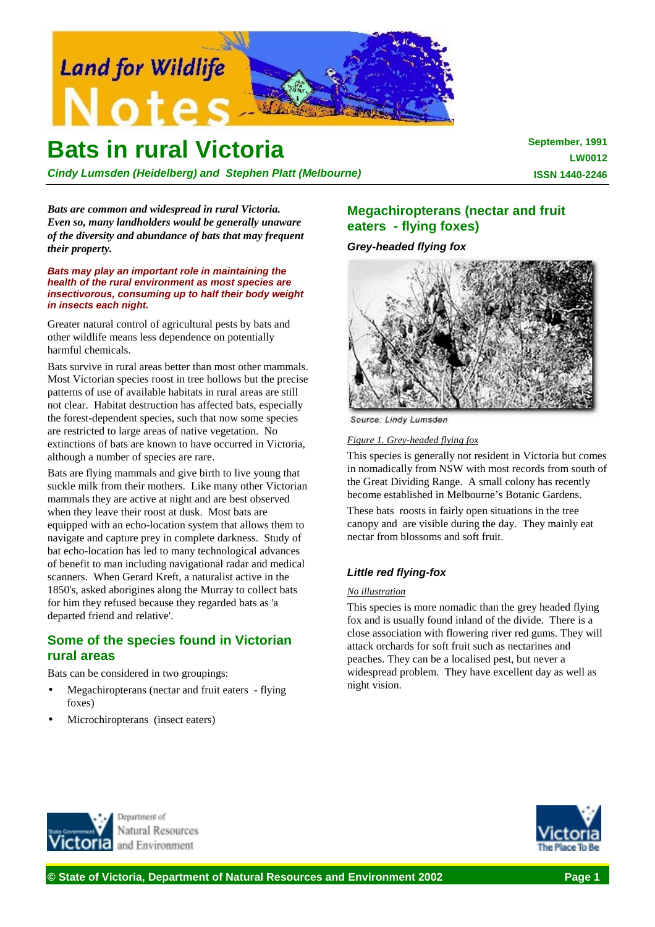

# **Bats in rural Victoria**

*Cindy Lumsden (Heidelberg) and Stephen Platt (Melbourne)*

**September, 1991 LW0012 ISSN 1440-2246**

*Bats are common and widespread in rural Victoria. Even so, many landholders would be generally unaware of the diversity and abundance of bats that may frequent their property.*

*Bats may play an important role in maintaining the health of the rural environment as most species are insectivorous, consuming up to half their body weight in insects each night.*

Greater natural control of agricultural pests by bats and other wildlife means less dependence on potentially harmful chemicals.

Bats survive in rural areas better than most other mammals. Most Victorian species roost in tree hollows but the precise patterns of use of available habitats in rural areas are still not clear. Habitat destruction has affected bats, especially the forest-dependent species, such that now some species are restricted to large areas of native vegetation. No extinctions of bats are known to have occurred in Victoria, although a number of species are rare.

Bats are flying mammals and give birth to live young that suckle milk from their mothers. Like many other Victorian mammals they are active at night and are best observed when they leave their roost at dusk. Most bats are equipped with an echo-location system that allows them to navigate and capture prey in complete darkness. Study of bat echo-location has led to many technological advances of benefit to man including navigational radar and medical scanners. When Gerard Kreft, a naturalist active in the 1850's, asked aborigines along the Murray to collect bats for him they refused because they regarded bats as 'a departed friend and relative'.

# **Some of the species found in Victorian rural areas**

Bats can be considered in two groupings:

- Megachiropterans (nectar and fruit eaters flying) foxes)
- Microchiropterans (insect eaters)

# **Megachiropterans (nectar and fruit eaters - flying foxes)**

*Grey-headed flying fox*



Source: Lindy Lumsden

*Figure 1. Grey-headed flying fox*

This species is generally not resident in Victoria but comes in nomadically from NSW with most records from south of the Great Dividing Range. A small colony has recently become established in Melbourne's Botanic Gardens.

These bats roosts in fairly open situations in the tree canopy and are visible during the day. They mainly eat nectar from blossoms and soft fruit.

# *Little red flying-fox*

#### *No illustration*

This species is more nomadic than the grey headed flying fox and is usually found inland of the divide. There is a close association with flowering river red gums. They will attack orchards for soft fruit such as nectarines and peaches. They can be a localised pest, but never a widespread problem. They have excellent day as well as night vision.



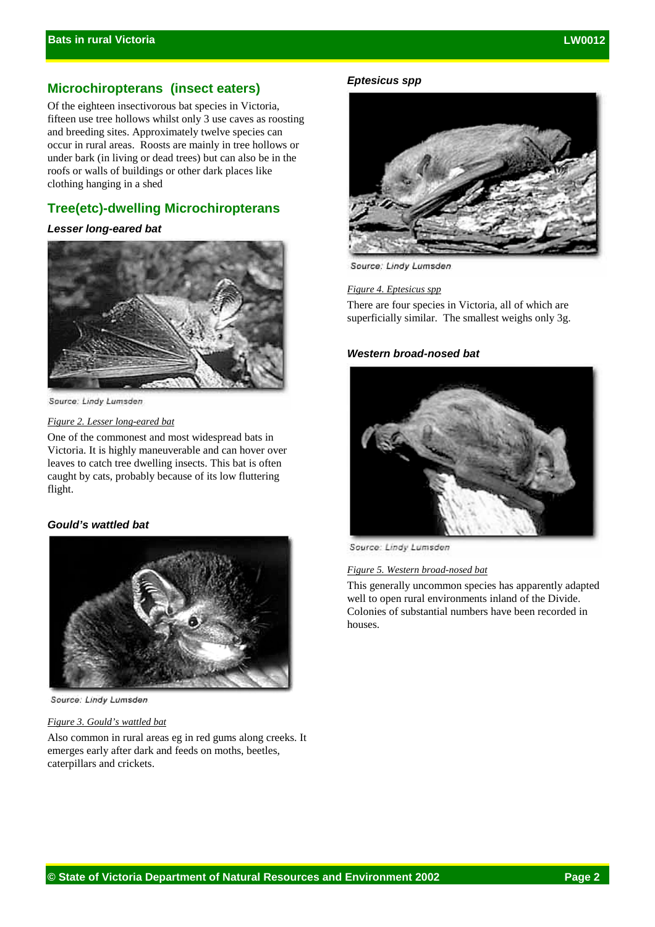# **Microchiropterans (insect eaters)**

Of the eighteen insectivorous bat species in Victoria, fifteen use tree hollows whilst only 3 use caves as roosting and breeding sites. Approximately twelve species can occur in rural areas. Roosts are mainly in tree hollows or under bark (in living or dead trees) but can also be in the roofs or walls of buildings or other dark places like clothing hanging in a shed

# **Tree(etc)-dwelling Microchiropterans**

#### *Lesser long-eared bat*



Source: Lindy Lumsden

#### *Figure 2. Lesser long-eared bat*

One of the commonest and most widespread bats in Victoria. It is highly maneuverable and can hover over leaves to catch tree dwelling insects. This bat is often caught by cats, probably because of its low fluttering flight.

# *Gould's wattled bat*



Source: Lindy Lumsden

#### *Figure 3. Gould's wattled bat*

Also common in rural areas eg in red gums along creeks. It emerges early after dark and feeds on moths, beetles, caterpillars and crickets.

#### *Eptesicus spp*



Source: Lindy Lumsden

*Figure 4. Eptesicus spp*

There are four species in Victoria, all of which are superficially similar. The smallest weighs only 3g.

## *Western broad-nosed bat*



Source: Lindy Lumsden

# *Figure 5. Western broad-nosed bat*

This generally uncommon species has apparently adapted well to open rural environments inland of the Divide. Colonies of substantial numbers have been recorded in houses.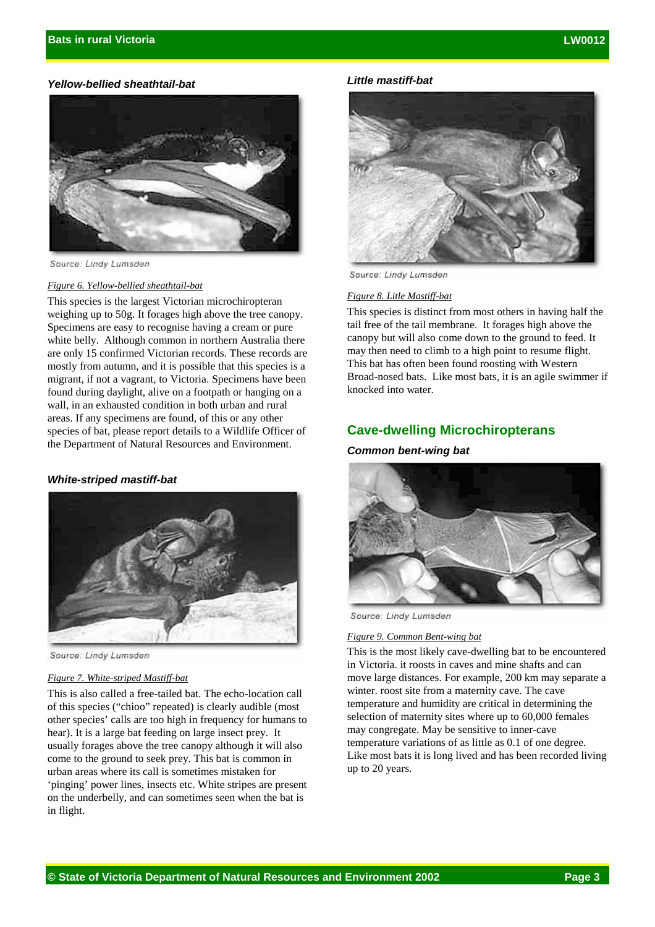### *Yellow-bellied sheathtail-bat*



Source: Lindy Lumsden

#### *Figure 6. Yellow-bellied sheathtail-bat*

This species is the largest Victorian microchiropteran weighing up to 50g. It forages high above the tree canopy. Specimens are easy to recognise having a cream or pure white belly. Although common in northern Australia there are only 15 confirmed Victorian records. These records are mostly from autumn, and it is possible that this species is a migrant, if not a vagrant, to Victoria. Specimens have been found during daylight, alive on a footpath or hanging on a wall, in an exhausted condition in both urban and rural areas. If any specimens are found, of this or any other species of bat, please report details to a Wildlife Officer of the Department of Natural Resources and Environment.

#### *White-striped mastiff-bat*



Source: Lindy Lumsden

## *Figure 7. White-striped Mastiff-bat*

This is also called a free-tailed bat. The echo-location call of this species ("chioo" repeated) is clearly audible (most other species' calls are too high in frequency for humans to hear). It is a large bat feeding on large insect prey. It usually forages above the tree canopy although it will also come to the ground to seek prey. This bat is common in urban areas where its call is sometimes mistaken for 'pinging' power lines, insects etc. White stripes are present on the underbelly, and can sometimes seen when the bat is in flight.

#### *Little mastiff-bat*



Source: Lindy Lumsden

#### *Figure 8. Litle Mastiff-bat*

This species is distinct from most others in having half the tail free of the tail membrane. It forages high above the canopy but will also come down to the ground to feed. It may then need to climb to a high point to resume flight. This bat has often been found roosting with Western Broad-nosed bats. Like most bats, it is an agile swimmer if knocked into water.

## **Cave-dwelling Microchiropterans**

#### *Common bent-wing bat*



Source: Lindy Lumsden

#### *Figure 9. Common Bent-wing bat*

This is the most likely cave-dwelling bat to be encountered in Victoria. it roosts in caves and mine shafts and can move large distances. For example, 200 km may separate a winter. roost site from a maternity cave. The cave temperature and humidity are critical in determining the selection of maternity sites where up to 60,000 females may congregate. May be sensitive to inner-cave temperature variations of as little as 0.1 of one degree. Like most bats it is long lived and has been recorded living up to 20 years.